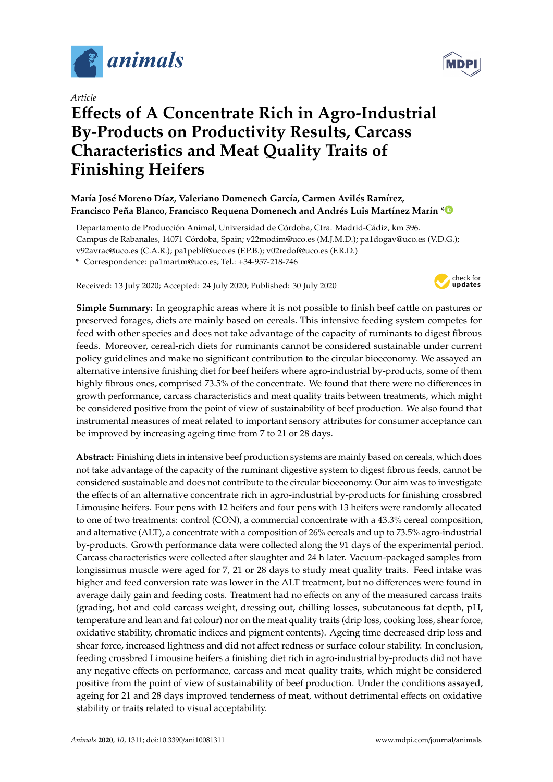

*Article*

# **E**ff**ects of A Concentrate Rich in Agro-Industrial By-Products on Productivity Results, Carcass Characteristics and Meat Quality Traits of Finishing Heifers**

# **María José Moreno Díaz, Valeriano Domenech García, Carmen Avilés Ramírez, Francisco Peña Blanco, Francisco Requena Domenech and Andrés Luis Martínez Marín [\\*](https://orcid.org/0000-0003-0052-9724)**

Departamento de Producción Animal, Universidad de Córdoba, Ctra. Madrid-Cádiz, km 396. Campus de Rabanales, 14071 Córdoba, Spain; v22modim@uco.es (M.J.M.D.); pa1dogav@uco.es (V.D.G.); v92avrac@uco.es (C.A.R.); pa1peblf@uco.es (F.P.B.); v02redof@uco.es (F.R.D.)

**\*** Correspondence: pa1martm@uco.es; Tel.: +34-957-218-746

Received: 13 July 2020; Accepted: 24 July 2020; Published: 30 July 2020



**Simple Summary:** In geographic areas where it is not possible to finish beef cattle on pastures or preserved forages, diets are mainly based on cereals. This intensive feeding system competes for feed with other species and does not take advantage of the capacity of ruminants to digest fibrous feeds. Moreover, cereal-rich diets for ruminants cannot be considered sustainable under current policy guidelines and make no significant contribution to the circular bioeconomy. We assayed an alternative intensive finishing diet for beef heifers where agro-industrial by-products, some of them highly fibrous ones, comprised 73.5% of the concentrate. We found that there were no differences in growth performance, carcass characteristics and meat quality traits between treatments, which might be considered positive from the point of view of sustainability of beef production. We also found that instrumental measures of meat related to important sensory attributes for consumer acceptance can be improved by increasing ageing time from 7 to 21 or 28 days.

**Abstract:** Finishing diets in intensive beef production systems are mainly based on cereals, which does not take advantage of the capacity of the ruminant digestive system to digest fibrous feeds, cannot be considered sustainable and does not contribute to the circular bioeconomy. Our aim was to investigate the effects of an alternative concentrate rich in agro-industrial by-products for finishing crossbred Limousine heifers. Four pens with 12 heifers and four pens with 13 heifers were randomly allocated to one of two treatments: control (CON), a commercial concentrate with a 43.3% cereal composition, and alternative (ALT), a concentrate with a composition of 26% cereals and up to 73.5% agro-industrial by-products. Growth performance data were collected along the 91 days of the experimental period. Carcass characteristics were collected after slaughter and 24 h later. Vacuum-packaged samples from longissimus muscle were aged for 7, 21 or 28 days to study meat quality traits. Feed intake was higher and feed conversion rate was lower in the ALT treatment, but no differences were found in average daily gain and feeding costs. Treatment had no effects on any of the measured carcass traits (grading, hot and cold carcass weight, dressing out, chilling losses, subcutaneous fat depth, pH, temperature and lean and fat colour) nor on the meat quality traits (drip loss, cooking loss, shear force, oxidative stability, chromatic indices and pigment contents). Ageing time decreased drip loss and shear force, increased lightness and did not affect redness or surface colour stability. In conclusion, feeding crossbred Limousine heifers a finishing diet rich in agro-industrial by-products did not have any negative effects on performance, carcass and meat quality traits, which might be considered positive from the point of view of sustainability of beef production. Under the conditions assayed, ageing for 21 and 28 days improved tenderness of meat, without detrimental effects on oxidative stability or traits related to visual acceptability.

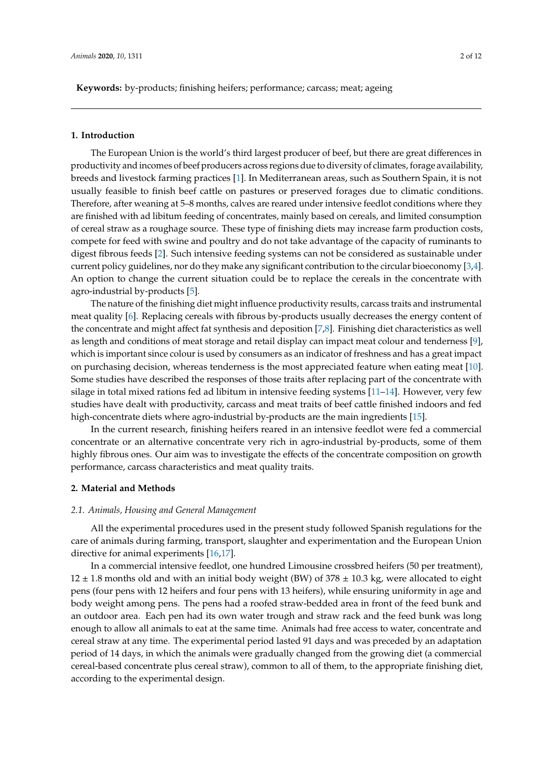**Keywords:** by-products; finishing heifers; performance; carcass; meat; ageing

#### **1. Introduction**

The European Union is the world's third largest producer of beef, but there are great differences in productivity and incomes of beef producers across regions due to diversity of climates, forage availability, breeds and livestock farming practices [\[1\]](#page-8-0). In Mediterranean areas, such as Southern Spain, it is not usually feasible to finish beef cattle on pastures or preserved forages due to climatic conditions. Therefore, after weaning at 5–8 months, calves are reared under intensive feedlot conditions where they are finished with ad libitum feeding of concentrates, mainly based on cereals, and limited consumption of cereal straw as a roughage source. These type of finishing diets may increase farm production costs, compete for feed with swine and poultry and do not take advantage of the capacity of ruminants to digest fibrous feeds [\[2\]](#page-8-1). Such intensive feeding systems can not be considered as sustainable under current policy guidelines, nor do they make any significant contribution to the circular bioeconomy [\[3](#page-9-0)[,4\]](#page-9-1). An option to change the current situation could be to replace the cereals in the concentrate with agro-industrial by-products [\[5\]](#page-9-2).

The nature of the finishing diet might influence productivity results, carcass traits and instrumental meat quality [\[6\]](#page-9-3). Replacing cereals with fibrous by-products usually decreases the energy content of the concentrate and might affect fat synthesis and deposition [\[7](#page-9-4)[,8\]](#page-9-5). Finishing diet characteristics as well as length and conditions of meat storage and retail display can impact meat colour and tenderness [\[9\]](#page-9-6), which is important since colour is used by consumers as an indicator of freshness and has a great impact on purchasing decision, whereas tenderness is the most appreciated feature when eating meat [\[10\]](#page-9-7). Some studies have described the responses of those traits after replacing part of the concentrate with silage in total mixed rations fed ad libitum in intensive feeding systems  $[11-14]$  $[11-14]$ . However, very few studies have dealt with productivity, carcass and meat traits of beef cattle finished indoors and fed high-concentrate diets where agro-industrial by-products are the main ingredients [\[15\]](#page-9-10).

In the current research, finishing heifers reared in an intensive feedlot were fed a commercial concentrate or an alternative concentrate very rich in agro-industrial by-products, some of them highly fibrous ones. Our aim was to investigate the effects of the concentrate composition on growth performance, carcass characteristics and meat quality traits.

# **2. Material and Methods**

#### *2.1. Animals, Housing and General Management*

All the experimental procedures used in the present study followed Spanish regulations for the care of animals during farming, transport, slaughter and experimentation and the European Union directive for animal experiments [\[16,](#page-9-11)[17\]](#page-9-12).

In a commercial intensive feedlot, one hundred Limousine crossbred heifers (50 per treatment),  $12 \pm 1.8$  months old and with an initial body weight (BW) of 378  $\pm$  10.3 kg, were allocated to eight pens (four pens with 12 heifers and four pens with 13 heifers), while ensuring uniformity in age and body weight among pens. The pens had a roofed straw-bedded area in front of the feed bunk and an outdoor area. Each pen had its own water trough and straw rack and the feed bunk was long enough to allow all animals to eat at the same time. Animals had free access to water, concentrate and cereal straw at any time. The experimental period lasted 91 days and was preceded by an adaptation period of 14 days, in which the animals were gradually changed from the growing diet (a commercial cereal-based concentrate plus cereal straw), common to all of them, to the appropriate finishing diet, according to the experimental design.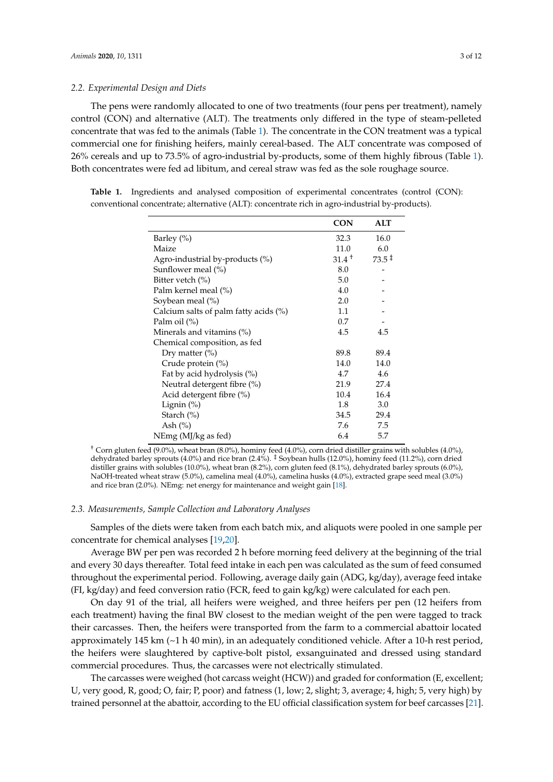#### *2.2. Experimental Design and Diets*

The pens were randomly allocated to one of two treatments (four pens per treatment), namely control (CON) and alternative (ALT). The treatments only differed in the type of steam-pelleted concentrate that was fed to the animals (Table [1\)](#page-2-0). The concentrate in the CON treatment was a typical commercial one for finishing heifers, mainly cereal-based. The ALT concentrate was composed of 26% cereals and up to 73.5% of agro-industrial by-products, some of them highly fibrous (Table [1\)](#page-2-0). Both concentrates were fed ad libitum, and cereal straw was fed as the sole roughage source.

<span id="page-2-0"></span>**Table 1.** Ingredients and analysed composition of experimental concentrates (control (CON): conventional concentrate; alternative (ALT): concentrate rich in agro-industrial by-products).

|                                       | <b>CON</b>        | <b>ALT</b>        |
|---------------------------------------|-------------------|-------------------|
| Barley $(\%)$                         | 32.3              | 16.0              |
| Maize                                 | 11.0              | 6.0               |
| Agro-industrial by-products $(\%)$    | $31.4^{\text{+}}$ | $73.5^{\text{+}}$ |
| Sunflower meal (%)                    | 8.0               |                   |
| Bitter vetch (%)                      | 5.0               |                   |
| Palm kernel meal (%)                  | 4.0               |                   |
| Soybean meal (%)                      | 2.0               |                   |
| Calcium salts of palm fatty acids (%) | 1.1               |                   |
| Palm oil (%)                          | 0.7               |                   |
| Minerals and vitamins $(\%)$          | 4.5               | 4.5               |
| Chemical composition, as fed          |                   |                   |
| Dry matter $(\% )$                    | 89.8              | 89.4              |
| Crude protein (%)                     | 14.0              | 14.0              |
| Fat by acid hydrolysis (%)            | 4.7               | 4.6               |
| Neutral detergent fibre (%)           | 21.9              | 27.4              |
| Acid detergent fibre (%)              | 10.4              | 16.4              |
| Lignin $(\%)$                         | 1.8               | 3.0               |
| Starch $(\% )$                        | 34.5              | 29.4              |
| Ash $(\%)$                            | 7.6               | 7.5               |
| NEmg (MJ/kg as fed)                   | 6.4               | 5.7               |

† Corn gluten feed (9.0%), wheat bran (8.0%), hominy feed (4.0%), corn dried distiller grains with solubles (4.0%), dehydrated barley sprouts (4.0%) and rice bran (2.4%). ‡ Soybean hulls (12.0%), hominy feed (11.2%), corn dried distiller grains with solubles (10.0%), wheat bran (8.2%), corn gluten feed (8.1%), dehydrated barley sprouts (6.0%), NaOH-treated wheat straw (5.0%), camelina meal (4.0%), camelina husks (4.0%), extracted grape seed meal (3.0%) and rice bran (2.0%). NEmg: net energy for maintenance and weight gain [\[18\]](#page-9-13).

#### *2.3. Measurements, Sample Collection and Laboratory Analyses*

Samples of the diets were taken from each batch mix, and aliquots were pooled in one sample per concentrate for chemical analyses [\[19,](#page-9-14)[20\]](#page-9-15).

Average BW per pen was recorded 2 h before morning feed delivery at the beginning of the trial and every 30 days thereafter. Total feed intake in each pen was calculated as the sum of feed consumed throughout the experimental period. Following, average daily gain (ADG, kg/day), average feed intake (FI, kg/day) and feed conversion ratio (FCR, feed to gain kg/kg) were calculated for each pen.

On day 91 of the trial, all heifers were weighed, and three heifers per pen (12 heifers from each treatment) having the final BW closest to the median weight of the pen were tagged to track their carcasses. Then, the heifers were transported from the farm to a commercial abattoir located approximately 145 km  $(\sim$  1 h 40 min), in an adequately conditioned vehicle. After a 10-h rest period, the heifers were slaughtered by captive-bolt pistol, exsanguinated and dressed using standard commercial procedures. Thus, the carcasses were not electrically stimulated.

The carcasses were weighed (hot carcass weight (HCW)) and graded for conformation (E, excellent; U, very good, R, good; O, fair; P, poor) and fatness (1, low; 2, slight; 3, average; 4, high; 5, very high) by trained personnel at the abattoir, according to the EU official classification system for beef carcasses [\[21\]](#page-9-16).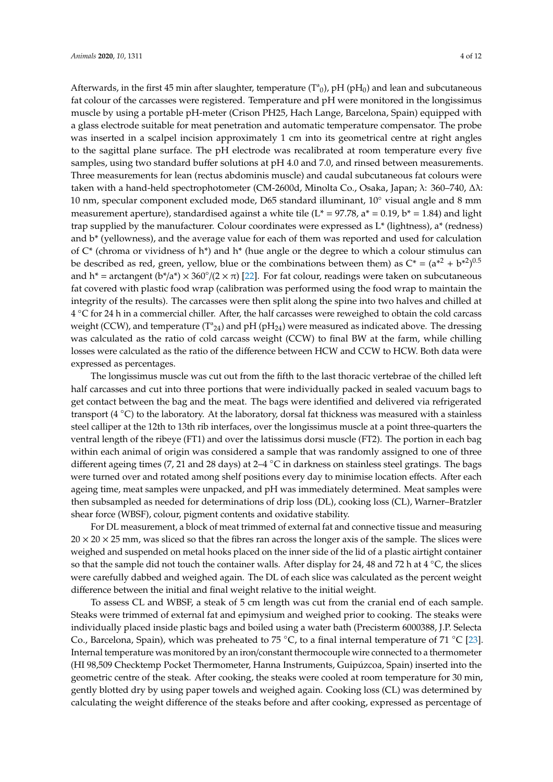Afterwards, in the first 45 min after slaughter, temperature  $(T^a)$ , pH (pH<sub>0</sub>) and lean and subcutaneous fat colour of the carcasses were registered. Temperature and pH were monitored in the longissimus muscle by using a portable pH-meter (Crison PH25, Hach Lange, Barcelona, Spain) equipped with a glass electrode suitable for meat penetration and automatic temperature compensator. The probe was inserted in a scalpel incision approximately 1 cm into its geometrical centre at right angles to the sagittal plane surface. The pH electrode was recalibrated at room temperature every five samples, using two standard buffer solutions at pH 4.0 and 7.0, and rinsed between measurements. Three measurements for lean (rectus abdominis muscle) and caudal subcutaneous fat colours were taken with a hand-held spectrophotometer (CM-2600d, Minolta Co., Osaka, Japan; λ: 360–740, ∆λ: 10 nm, specular component excluded mode, D65 standard illuminant, 10◦ visual angle and 8 mm measurement aperture), standardised against a white tile ( $L^* = 97.78$ ,  $a^* = 0.19$ ,  $b^* = 1.84$ ) and light trap supplied by the manufacturer. Colour coordinates were expressed as L\* (lightness), a\* (redness) and b\* (yellowness), and the average value for each of them was reported and used for calculation of C\* (chroma or vividness of h\*) and h\* (hue angle or the degree to which a colour stimulus can be described as red, green, yellow, blue or the combinations between them) as  $C^* = (a^{*2} + b^{*2})^{0.5}$ and h<sup>\*</sup> = arctangent ( $b^*/a^*$ ) × 360°/(2 ×  $\pi$ ) [\[22\]](#page-9-17). For fat colour, readings were taken on subcutaneous fat covered with plastic food wrap (calibration was performed using the food wrap to maintain the integrity of the results). The carcasses were then split along the spine into two halves and chilled at 4 ◦C for 24 h in a commercial chiller. After, the half carcasses were reweighed to obtain the cold carcass weight (CCW), and temperature ( $T^2_{24}$ ) and pH (pH<sub>24</sub>) were measured as indicated above. The dressing was calculated as the ratio of cold carcass weight (CCW) to final BW at the farm, while chilling losses were calculated as the ratio of the difference between HCW and CCW to HCW. Both data were expressed as percentages.

The longissimus muscle was cut out from the fifth to the last thoracic vertebrae of the chilled left half carcasses and cut into three portions that were individually packed in sealed vacuum bags to get contact between the bag and the meat. The bags were identified and delivered via refrigerated transport (4  $\degree$ C) to the laboratory. At the laboratory, dorsal fat thickness was measured with a stainless steel calliper at the 12th to 13th rib interfaces, over the longissimus muscle at a point three-quarters the ventral length of the ribeye (FT1) and over the latissimus dorsi muscle (FT2). The portion in each bag within each animal of origin was considered a sample that was randomly assigned to one of three different ageing times (7, 21 and 28 days) at 2–4 ◦C in darkness on stainless steel gratings. The bags were turned over and rotated among shelf positions every day to minimise location effects. After each ageing time, meat samples were unpacked, and pH was immediately determined. Meat samples were then subsampled as needed for determinations of drip loss (DL), cooking loss (CL), Warner–Bratzler shear force (WBSF), colour, pigment contents and oxidative stability.

For DL measurement, a block of meat trimmed of external fat and connective tissue and measuring  $20 \times 20 \times 25$  mm, was sliced so that the fibres ran across the longer axis of the sample. The slices were weighed and suspended on metal hooks placed on the inner side of the lid of a plastic airtight container so that the sample did not touch the container walls. After display for 24, 48 and 72 h at 4  $°C$ , the slices were carefully dabbed and weighed again. The DL of each slice was calculated as the percent weight difference between the initial and final weight relative to the initial weight.

To assess CL and WBSF, a steak of 5 cm length was cut from the cranial end of each sample. Steaks were trimmed of external fat and epimysium and weighed prior to cooking. The steaks were individually placed inside plastic bags and boiled using a water bath (Precisterm 6000388, J.P. Selecta Co., Barcelona, Spain), which was preheated to 75 ◦C, to a final internal temperature of 71 ◦C [\[23\]](#page-9-18). Internal temperature was monitored by an iron/constant thermocouple wire connected to a thermometer (HI 98,509 Checktemp Pocket Thermometer, Hanna Instruments, Guipúzcoa, Spain) inserted into the geometric centre of the steak. After cooking, the steaks were cooled at room temperature for 30 min, gently blotted dry by using paper towels and weighed again. Cooking loss (CL) was determined by calculating the weight difference of the steaks before and after cooking, expressed as percentage of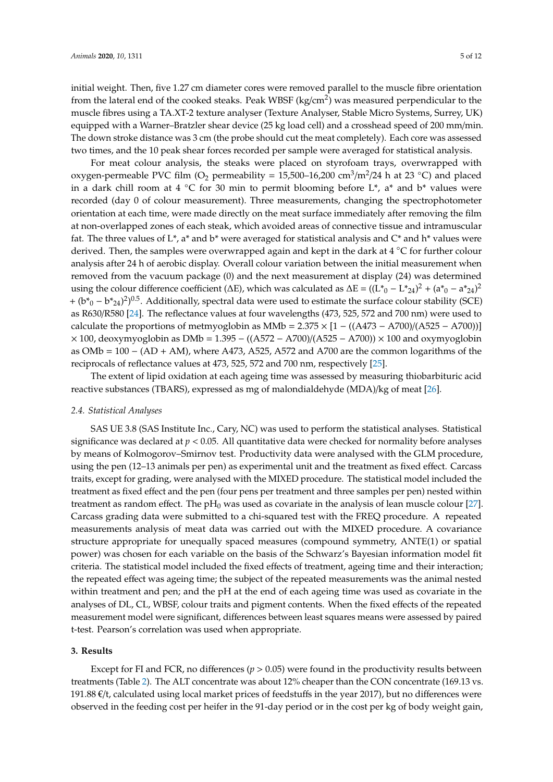initial weight. Then, five 1.27 cm diameter cores were removed parallel to the muscle fibre orientation from the lateral end of the cooked steaks. Peak WBSF (kg/cm $^2$ ) was measured perpendicular to the muscle fibres using a TA.XT-2 texture analyser (Texture Analyser, Stable Micro Systems, Surrey, UK) equipped with a Warner–Bratzler shear device (25 kg load cell) and a crosshead speed of 200 mm/min. The down stroke distance was 3 cm (the probe should cut the meat completely). Each core was assessed two times, and the 10 peak shear forces recorded per sample were averaged for statistical analysis.

For meat colour analysis, the steaks were placed on styrofoam trays, overwrapped with oxygen-permeable PVC film (O<sub>2</sub> permeability = 15,500–16,200 cm<sup>3</sup>/m<sup>2</sup>/24 h at 23 °C) and placed in a dark chill room at 4  $\degree$ C for 30 min to permit blooming before L<sup>\*</sup>, a<sup>\*</sup> and b<sup>\*</sup> values were recorded (day 0 of colour measurement). Three measurements, changing the spectrophotometer orientation at each time, were made directly on the meat surface immediately after removing the film at non-overlapped zones of each steak, which avoided areas of connective tissue and intramuscular fat. The three values of  $L^*$ , a<sup>\*</sup> and b<sup>\*</sup> were averaged for statistical analysis and  $C^*$  and h<sup>\*</sup> values were derived. Then, the samples were overwrapped again and kept in the dark at 4 ◦C for further colour analysis after 24 h of aerobic display. Overall colour variation between the initial measurement when removed from the vacuum package (0) and the next measurement at display (24) was determined using the colour difference coefficient ( $\Delta E$ ), which was calculated as  $\Delta E = ((L^*_{0} - L^*_{24})^2 + (a^*_{0} - a^*_{24})^2$ +  $(b*_0 - b*_2)$ <sup>2</sup>)<sup>0.5</sup>. Additionally, spectral data were used to estimate the surface colour stability (SCE) as R630/R580 [\[24\]](#page-9-19). The reflectance values at four wavelengths (473, 525, 572 and 700 nm) were used to calculate the proportions of metmyoglobin as MMb =  $2.375 \times [1 - ((A473 - A700)/(A525 - A700))]$  $\times$  100, deoxymyoglobin as DMb = 1.395 – ((A572 – A700)/(A525 – A700))  $\times$  100 and oxymyoglobin as OMb = 100 − (AD + AM), where A473, A525, A572 and A700 are the common logarithms of the reciprocals of reflectance values at 473, 525, 572 and 700 nm, respectively [\[25\]](#page-9-20).

The extent of lipid oxidation at each ageing time was assessed by measuring thiobarbituric acid reactive substances (TBARS), expressed as mg of malondialdehyde (MDA)/kg of meat [\[26\]](#page-10-0).

## *2.4. Statistical Analyses*

SAS UE 3.8 (SAS Institute Inc., Cary, NC) was used to perform the statistical analyses. Statistical significance was declared at  $p < 0.05$ . All quantitative data were checked for normality before analyses by means of Kolmogorov–Smirnov test. Productivity data were analysed with the GLM procedure, using the pen (12–13 animals per pen) as experimental unit and the treatment as fixed effect. Carcass traits, except for grading, were analysed with the MIXED procedure. The statistical model included the treatment as fixed effect and the pen (four pens per treatment and three samples per pen) nested within treatment as random effect. The  $pH_0$  was used as covariate in the analysis of lean muscle colour [\[27\]](#page-10-1). Carcass grading data were submitted to a chi-squared test with the FREQ procedure. A repeated measurements analysis of meat data was carried out with the MIXED procedure. A covariance structure appropriate for unequally spaced measures (compound symmetry, ANTE(1) or spatial power) was chosen for each variable on the basis of the Schwarz's Bayesian information model fit criteria. The statistical model included the fixed effects of treatment, ageing time and their interaction; the repeated effect was ageing time; the subject of the repeated measurements was the animal nested within treatment and pen; and the pH at the end of each ageing time was used as covariate in the analyses of DL, CL, WBSF, colour traits and pigment contents. When the fixed effects of the repeated measurement model were significant, differences between least squares means were assessed by paired t-test. Pearson's correlation was used when appropriate.

#### **3. Results**

Except for FI and FCR, no differences ( $p > 0.05$ ) were found in the productivity results between treatments (Table [2\)](#page-5-0). The ALT concentrate was about 12% cheaper than the CON concentrate (169.13 vs. 191.88 €/t, calculated using local market prices of feedstuffs in the year 2017), but no differences were observed in the feeding cost per heifer in the 91-day period or in the cost per kg of body weight gain,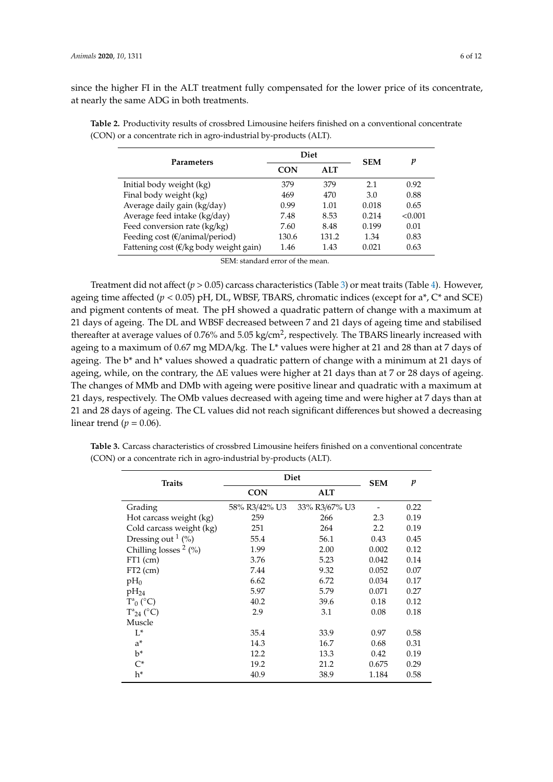since the higher FI in the ALT treatment fully compensated for the lower price of its concentrate, at nearly the same ADG in both treatments.

| Parameters                                        |            | <b>Diet</b> | <b>SEM</b> | p       |  |
|---------------------------------------------------|------------|-------------|------------|---------|--|
|                                                   | <b>CON</b> | <b>ALT</b>  |            |         |  |
| Initial body weight (kg)                          | 379        | 379         | 2.1        | 0.92    |  |
| Final body weight (kg)                            | 469        | 470         | 3.0        | 0.88    |  |
| Average daily gain (kg/day)                       | 0.99       | 1.01        | 0.018      | 0.65    |  |
| Average feed intake (kg/day)                      | 7.48       | 8.53        | 0.214      | < 0.001 |  |
| Feed conversion rate (kg/kg)                      | 7.60       | 8.48        | 0.199      | 0.01    |  |
| Feeding cost ( $\epsilon$ /animal/period)         | 130.6      | 131.2       | 1.34       | 0.83    |  |
| Fattening cost ( $\epsilon$ /kg body weight gain) | 1.46       | 1.43        | 0.021      | 0.63    |  |

<span id="page-5-0"></span>**Table 2.** Productivity results of crossbred Limousine heifers finished on a conventional concentrate (CON) or a concentrate rich in agro-industrial by-products (ALT).

SEM: standard error of the mean.

Treatment did not affect ( $p > 0.05$ ) carcass characteristics (Table [3\)](#page-6-0) or meat traits (Table [4\)](#page-6-1). However, ageing time affected  $(p < 0.05)$  pH, DL, WBSF, TBARS, chromatic indices (except for a\*,  $C^*$  and SCE) and pigment contents of meat. The pH showed a quadratic pattern of change with a maximum at 21 days of ageing. The DL and WBSF decreased between 7 and 21 days of ageing time and stabilised thereafter at average values of 0.76% and 5.05 kg/cm<sup>2</sup>, respectively. The TBARS linearly increased with ageing to a maximum of 0.67 mg MDA/kg. The L\* values were higher at 21 and 28 than at 7 days of ageing. The b<sup>\*</sup> and h<sup>\*</sup> values showed a quadratic pattern of change with a minimum at 21 days of ageing, while, on the contrary, the ∆E values were higher at 21 days than at 7 or 28 days of ageing. The changes of MMb and DMb with ageing were positive linear and quadratic with a maximum at 21 days, respectively. The OMb values decreased with ageing time and were higher at 7 days than at 21 and 28 days of ageing. The CL values did not reach significant differences but showed a decreasing linear trend ( $p = 0.06$ ).

| <b>Traits</b>            | Diet          | <b>SEM</b>    | p     |      |
|--------------------------|---------------|---------------|-------|------|
|                          | <b>CON</b>    | ALT           |       |      |
| Grading                  | 58% R3/42% U3 | 33% R3/67% U3 |       | 0.22 |
| Hot carcass weight (kg)  | 259           | 266           | 2.3   | 0.19 |
| Cold carcass weight (kg) | 251           | 264           | 2.2   | 0.19 |
| Dressing out $1$ (%)     | 55.4          | 56.1          | 0.43  | 0.45 |
| Chilling losses $2$ (%)  | 1.99          | 2.00          | 0.002 | 0.12 |
| $FT1$ (cm)               | 3.76          | 5.23          | 0.042 | 0.14 |
| $FT2$ (cm)               | 7.44          | 9.32          | 0.052 | 0.07 |
| $pH_0$                   | 6.62          | 6.72          | 0.034 | 0.17 |
| $pH_{24}$                | 5.97          | 5.79          | 0.071 | 0.27 |
| $T^a_{0}$ (°C)           | 40.2          | 39.6          | 0.18  | 0.12 |
| $T^a{}_{24}$ (°C)        | 2.9           | 3.1           | 0.08  | 0.18 |
| Muscle                   |               |               |       |      |
| $L^*$                    | 35.4          | 33.9          | 0.97  | 0.58 |
| $a^*$                    | 14.3          | 16.7          | 0.68  | 0.31 |
| $b^*$                    | 12.2          | 13.3          | 0.42  | 0.19 |
| $C^*$                    | 19.2          | 21.2          | 0.675 | 0.29 |
| h*                       | 40.9          | 38.9          | 1.184 | 0.58 |

**Table 3.** Carcass characteristics of crossbred Limousine heifers finished on a conventional concentrate (CON) or a concentrate rich in agro-industrial by-products (ALT).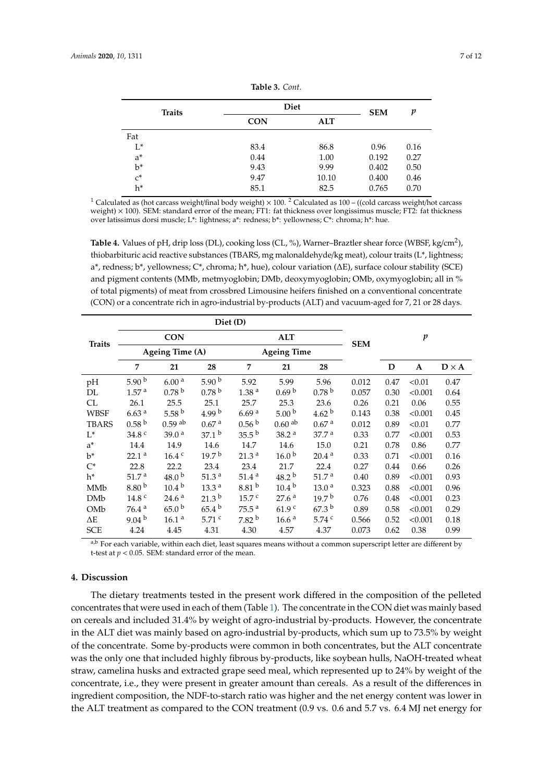<span id="page-6-0"></span>

| <b>Traits</b> | Diet       | <b>SEM</b> | p     |      |  |
|---------------|------------|------------|-------|------|--|
|               | <b>CON</b> | <b>ALT</b> |       |      |  |
| Fat           |            |            |       |      |  |
| $L^*$         | 83.4       | 86.8       | 0.96  | 0.16 |  |
| $a^*$         | 0.44       | 1.00       | 0.192 | 0.27 |  |
| $b^*$         | 9.43       | 9.99       | 0.402 | 0.50 |  |
| $C^*$         | 9.47       | 10.10      | 0.400 | 0.46 |  |
| h*            | 85.1       | 82.5       | 0.765 | 0.70 |  |

**Table 3.** *Cont.*

<sup>1</sup> Calculated as (hot carcass weight/final body weight)  $\times$  100. <sup>2</sup> Calculated as 100 – ((cold carcass weight/hot carcass weight)  $\times$  100). SEM: standard error of the mean; FT1: fat thickness over longissimus muscle; FT2: fat thickness over latissimus dorsi muscle; L\*: lightness; a\*: redness; b\*: yellowness; C\*: chroma; h\*: hue.

<span id="page-6-1"></span>**Table 4.** Values of pH, drip loss (DL), cooking loss (CL, %), Warner–Braztler shear force (WBSF, kg/cm<sup>2</sup> ), thiobarbituric acid reactive substances (TBARS, mg malonaldehyde/kg meat), colour traits (L\*, lightness; a\*, redness; b\*, yellowness; C\*, chroma; h\*, hue), colour variation (∆E), surface colour stability (SCE) and pigment contents (MMb, metmyoglobin; DMb, deoxymyoglobin; OMb, oxymyoglobin; all in % of total pigments) of meat from crossbred Limousine heifers finished on a conventional concentrate (CON) or a concentrate rich in agro-industrial by-products (ALT) and vacuum-aged for 7, 21 or 28 days.

|               | Diet (D)           |                      |                   |                    |                      |                   |            |      |                  |              |
|---------------|--------------------|----------------------|-------------------|--------------------|----------------------|-------------------|------------|------|------------------|--------------|
| <b>Traits</b> |                    | <b>CON</b>           |                   |                    | <b>ALT</b>           |                   | <b>SEM</b> |      | $\boldsymbol{p}$ |              |
|               | Ageing Time (A)    |                      |                   | <b>Ageing Time</b> |                      |                   |            |      |                  |              |
|               | 7                  | 21                   | 28                | 7                  | 21                   | 28                |            | D    | $\mathbf{A}$     | $D \times A$ |
| pH            | 5.90 $^{\rm b}$    | 6.00 <sup>a</sup>    | 5.90 $^{\rm b}$   | 5.92               | 5.99                 | 5.96              | 0.012      | 0.47 | < 0.01           | 0.47         |
| DL            | 1.57 <sup>a</sup>  | 0.78 <sup>b</sup>    | 0.78 <sup>b</sup> | $1.38$ $^{\rm a}$  | 0.69 <sup>b</sup>    | 0.78 <sup>b</sup> | 0.057      | 0.30 | < 0.001          | 0.64         |
| CL            | 26.1               | 25.5                 | 25.1              | 25.7               | 25.3                 | 23.6              | 0.26       | 0.21 | 0.06             | 0.55         |
| <b>WBSF</b>   | 6.63 <sup>a</sup>  | 5.58 $^{\rm b}$      | 4.99 $^{\rm b}$   | 6.69 <sup>a</sup>  | 5.00 <sup>b</sup>    | 4.62 <sup>b</sup> | 0.143      | 0.38 | < 0.001          | 0.45         |
| <b>TBARS</b>  | 0.58 <sup>b</sup>  | $0.59$ <sup>ab</sup> | 0.67 <sup>a</sup> | 0.56 <sup>b</sup>  | $0.60$ <sup>ab</sup> | 0.67 <sup>a</sup> | 0.012      | 0.89 | < 0.01           | 0.77         |
| $L^*$         | 34.8 <sup>c</sup>  | 39.0 <sup>a</sup>    | 37.1 <sup>b</sup> | 35.5 <sup>b</sup>  | 38.2 <sup>a</sup>    | 37.7 <sup>a</sup> | 0.33       | 0.77 | < 0.001          | 0.53         |
| $a^*$         | 14.4               | 14.9                 | 14.6              | 14.7               | 14.6                 | 15.0              | 0.21       | 0.78 | 0.86             | 0.77         |
| $b^*$         | 22.1 <sup>a</sup>  | 16.4 <sup>c</sup>    | 19.7 <sup>b</sup> | 21.3 <sup>a</sup>  | 16.0 <sup>b</sup>    | 20.4 <sup>a</sup> | 0.33       | 0.71 | < 0.001          | 0.16         |
| $C^*$         | 22.8               | 22.2                 | 23.4              | 23.4               | 21.7                 | 22.4              | 0.27       | 0.44 | 0.66             | 0.26         |
| $h^*$         | 51.7 <sup>a</sup>  | 48.0 <sup>b</sup>    | 51.3 $a$          | 51.4 <sup>a</sup>  | 48.2 <sup>b</sup>    | 51.7 <sup>a</sup> | 0.40       | 0.89 | < 0.001          | 0.93         |
| MMb           | 8.80 <sup>b</sup>  | $10.4^{b}$           | 13.3 <sup>a</sup> | 8.81 <sup>b</sup>  | $10.4^{b}$           | 13.0 <sup>a</sup> | 0.323      | 0.88 | < 0.001          | 0.96         |
| DMb           | 14.8 <sup>c</sup>  | 24.6 <sup>a</sup>    | 21.3 <sup>b</sup> | 15.7 <sup>c</sup>  | 27.6 <sup>a</sup>    | 19.7 <sup>b</sup> | 0.76       | 0.48 | < 0.001          | 0.23         |
| OMb           | 76.4~ <sup>a</sup> | 65.0 <sup>b</sup>    | 65.4 <sup>b</sup> | 75.5 <sup>a</sup>  | 61.9 <sup>c</sup>    | 67.3 <sup>b</sup> | 0.89       | 0.58 | < 0.001          | 0.29         |
| $\Delta E$    | 9.04 <sup>b</sup>  | 16.1 <sup>a</sup>    | 5.71 c            | 7.82 <sup>b</sup>  | 16.6 <sup>a</sup>    | 5.74 $c$          | 0.566      | 0.52 | < 0.001          | 0.18         |
| <b>SCE</b>    | 4.24               | 4.45                 | 4.31              | 4.30               | 4.57                 | 4.37              | 0.073      | 0.62 | 0.38             | 0.99         |

a,b For each variable, within each diet, least squares means without a common superscript letter are different by t-test at  $p < 0.05$ . SEM: standard error of the mean.

# **4. Discussion**

The dietary treatments tested in the present work differed in the composition of the pelleted concentrates that were used in each of them (Table [1\)](#page-2-0). The concentrate in the CON diet was mainly based on cereals and included 31.4% by weight of agro-industrial by-products. However, the concentrate in the ALT diet was mainly based on agro-industrial by-products, which sum up to 73.5% by weight of the concentrate. Some by-products were common in both concentrates, but the ALT concentrate was the only one that included highly fibrous by-products, like soybean hulls, NaOH-treated wheat straw, camelina husks and extracted grape seed meal, which represented up to 24% by weight of the concentrate, i.e., they were present in greater amount than cereals. As a result of the differences in ingredient composition, the NDF-to-starch ratio was higher and the net energy content was lower in the ALT treatment as compared to the CON treatment (0.9 vs. 0.6 and 5.7 vs. 6.4 MJ net energy for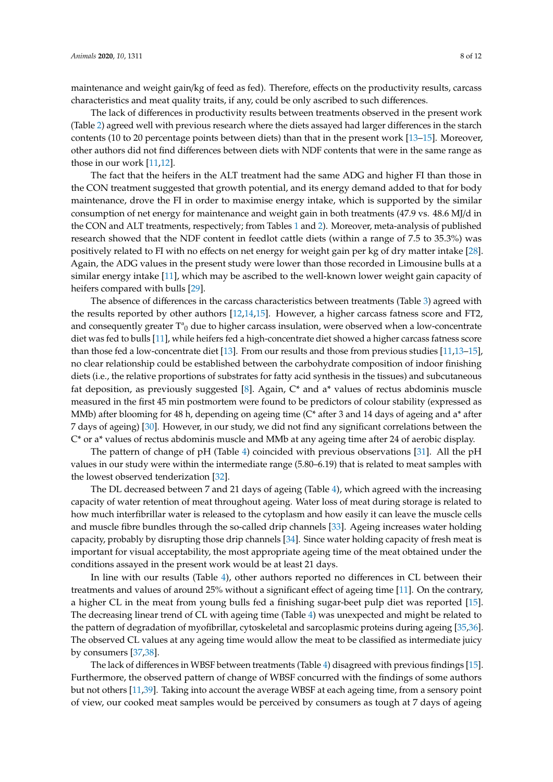maintenance and weight gain/kg of feed as fed). Therefore, effects on the productivity results, carcass characteristics and meat quality traits, if any, could be only ascribed to such differences.

The lack of differences in productivity results between treatments observed in the present work (Table [2\)](#page-5-0) agreed well with previous research where the diets assayed had larger differences in the starch contents (10 to 20 percentage points between diets) than that in the present work [\[13](#page-9-21)[–15\]](#page-9-10). Moreover, other authors did not find differences between diets with NDF contents that were in the same range as those in our work [\[11,](#page-9-8)[12\]](#page-9-22).

The fact that the heifers in the ALT treatment had the same ADG and higher FI than those in the CON treatment suggested that growth potential, and its energy demand added to that for body maintenance, drove the FI in order to maximise energy intake, which is supported by the similar consumption of net energy for maintenance and weight gain in both treatments (47.9 vs. 48.6 MJ/d in the CON and ALT treatments, respectively; from Tables [1](#page-2-0) and [2\)](#page-5-0). Moreover, meta-analysis of published research showed that the NDF content in feedlot cattle diets (within a range of 7.5 to 35.3%) was positively related to FI with no effects on net energy for weight gain per kg of dry matter intake [\[28\]](#page-10-2). Again, the ADG values in the present study were lower than those recorded in Limousine bulls at a similar energy intake [\[11\]](#page-9-8), which may be ascribed to the well-known lower weight gain capacity of heifers compared with bulls [\[29\]](#page-10-3).

The absence of differences in the carcass characteristics between treatments (Table [3\)](#page-6-0) agreed with the results reported by other authors [\[12,](#page-9-22)[14,](#page-9-9)[15\]](#page-9-10). However, a higher carcass fatness score and FT2, and consequently greater  $T^a_0$  due to higher carcass insulation, were observed when a low-concentrate diet was fed to bulls [\[11\]](#page-9-8), while heifers fed a high-concentrate diet showed a higher carcass fatness score than those fed a low-concentrate diet [\[13\]](#page-9-21). From our results and those from previous studies [\[11](#page-9-8)[,13](#page-9-21)[–15\]](#page-9-10), no clear relationship could be established between the carbohydrate composition of indoor finishing diets (i.e., the relative proportions of substrates for fatty acid synthesis in the tissues) and subcutaneous fat deposition, as previously suggested  $[8]$ . Again,  $C^*$  and a<sup>\*</sup> values of rectus abdominis muscle measured in the first 45 min postmortem were found to be predictors of colour stability (expressed as MMb) after blooming for 48 h, depending on ageing time (C<sup>\*</sup> after 3 and 14 days of ageing and a<sup>\*</sup> after 7 days of ageing) [\[30\]](#page-10-4). However, in our study, we did not find any significant correlations between the C\* or a\* values of rectus abdominis muscle and MMb at any ageing time after 24 of aerobic display.

The pattern of change of pH (Table [4\)](#page-6-1) coincided with previous observations [\[31\]](#page-10-5). All the pH values in our study were within the intermediate range (5.80–6.19) that is related to meat samples with the lowest observed tenderization [\[32\]](#page-10-6).

The DL decreased between 7 and 21 days of ageing (Table [4\)](#page-6-1), which agreed with the increasing capacity of water retention of meat throughout ageing. Water loss of meat during storage is related to how much interfibrillar water is released to the cytoplasm and how easily it can leave the muscle cells and muscle fibre bundles through the so-called drip channels [\[33\]](#page-10-7). Ageing increases water holding capacity, probably by disrupting those drip channels [\[34\]](#page-10-8). Since water holding capacity of fresh meat is important for visual acceptability, the most appropriate ageing time of the meat obtained under the conditions assayed in the present work would be at least 21 days.

In line with our results (Table [4\)](#page-6-1), other authors reported no differences in CL between their treatments and values of around 25% without a significant effect of ageing time [\[11\]](#page-9-8). On the contrary, a higher CL in the meat from young bulls fed a finishing sugar-beet pulp diet was reported [\[15\]](#page-9-10). The decreasing linear trend of CL with ageing time (Table [4\)](#page-6-1) was unexpected and might be related to the pattern of degradation of myofibrillar, cytoskeletal and sarcoplasmic proteins during ageing [\[35](#page-10-9)[,36\]](#page-10-10). The observed CL values at any ageing time would allow the meat to be classified as intermediate juicy by consumers [\[37](#page-10-11)[,38\]](#page-10-12).

The lack of differences in WBSF between treatments (Table [4\)](#page-6-1) disagreed with previous findings [\[15\]](#page-9-10). Furthermore, the observed pattern of change of WBSF concurred with the findings of some authors but not others [\[11](#page-9-8)[,39\]](#page-10-13). Taking into account the average WBSF at each ageing time, from a sensory point of view, our cooked meat samples would be perceived by consumers as tough at 7 days of ageing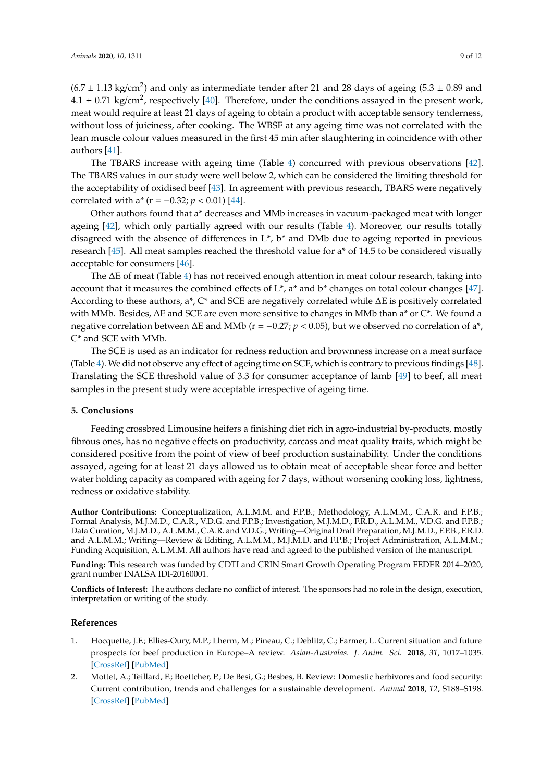$(6.7 \pm 1.13 \text{ kg/cm}^2)$  and only as intermediate tender after 21 and 28 days of ageing  $(5.3 \pm 0.89 \text{ and } 0.001)$  $4.1 \pm 0.71$  kg/cm<sup>2</sup>, respectively [\[40\]](#page-10-14). Therefore, under the conditions assayed in the present work, meat would require at least 21 days of ageing to obtain a product with acceptable sensory tenderness, without loss of juiciness, after cooking. The WBSF at any ageing time was not correlated with the lean muscle colour values measured in the first 45 min after slaughtering in coincidence with other authors [\[41\]](#page-10-15).

The TBARS increase with ageing time (Table [4\)](#page-6-1) concurred with previous observations [\[42\]](#page-10-16). The TBARS values in our study were well below 2, which can be considered the limiting threshold for the acceptability of oxidised beef [\[43\]](#page-10-17). In agreement with previous research, TBARS were negatively correlated with a<sup>\*</sup> (r =  $-0.32$ ; *p* < 0.01) [\[44\]](#page-10-18).

Other authors found that a\* decreases and MMb increases in vacuum-packaged meat with longer ageing [\[42\]](#page-10-16), which only partially agreed with our results (Table [4\)](#page-6-1). Moreover, our results totally disagreed with the absence of differences in  $L^*$ ,  $b^*$  and DMb due to ageing reported in previous research [\[45\]](#page-10-19). All meat samples reached the threshold value for a\* of 14.5 to be considered visually acceptable for consumers [\[46\]](#page-10-20).

The ∆E of meat (Table [4\)](#page-6-1) has not received enough attention in meat colour research, taking into account that it measures the combined effects of  $L^*$ , a<sup>\*</sup> and  $b^*$  changes on total colour changes [\[47\]](#page-10-21). According to these authors, a\*, C\* and SCE are negatively correlated while ∆E is positively correlated with MMb. Besides, ∆E and SCE are even more sensitive to changes in MMb than a\* or C\*. We found a negative correlation between ∆E and MMb (r = −0.27; *p* < 0.05), but we observed no correlation of a\*, C\* and SCE with MMb.

The SCE is used as an indicator for redness reduction and brownness increase on a meat surface (Table [4\)](#page-6-1). We did not observe any effect of ageing time on SCE, which is contrary to previous findings [\[48\]](#page-11-0). Translating the SCE threshold value of 3.3 for consumer acceptance of lamb [\[49\]](#page-11-1) to beef, all meat samples in the present study were acceptable irrespective of ageing time.

# **5. Conclusions**

Feeding crossbred Limousine heifers a finishing diet rich in agro-industrial by-products, mostly fibrous ones, has no negative effects on productivity, carcass and meat quality traits, which might be considered positive from the point of view of beef production sustainability. Under the conditions assayed, ageing for at least 21 days allowed us to obtain meat of acceptable shear force and better water holding capacity as compared with ageing for 7 days, without worsening cooking loss, lightness, redness or oxidative stability.

**Author Contributions:** Conceptualization, A.L.M.M. and F.P.B.; Methodology, A.L.M.M., C.A.R. and F.P.B.; Formal Analysis, M.J.M.D., C.A.R., V.D.G. and F.P.B.; Investigation, M.J.M.D., F.R.D., A.L.M.M., V.D.G. and F.P.B.; Data Curation, M.J.M.D., A.L.M.M., C.A.R. and V.D.G.; Writing—Original Draft Preparation, M.J.M.D., F.P.B., F.R.D. and A.L.M.M.; Writing—Review & Editing, A.L.M.M., M.J.M.D. and F.P.B.; Project Administration, A.L.M.M.; Funding Acquisition, A.L.M.M. All authors have read and agreed to the published version of the manuscript.

**Funding:** This research was funded by CDTI and CRIN Smart Growth Operating Program FEDER 2014–2020, grant number INALSA IDI-20160001.

**Conflicts of Interest:** The authors declare no conflict of interest. The sponsors had no role in the design, execution, interpretation or writing of the study.

#### **References**

- <span id="page-8-0"></span>1. Hocquette, J.F.; Ellies-Oury, M.P.; Lherm, M.; Pineau, C.; Deblitz, C.; Farmer, L. Current situation and future prospects for beef production in Europe–A review. *Asian-Australas. J. Anim. Sci.* **2018**, *31*, 1017–1035. [\[CrossRef\]](http://dx.doi.org/10.5713/ajas.18.0196) [\[PubMed\]](http://www.ncbi.nlm.nih.gov/pubmed/29807416)
- <span id="page-8-1"></span>2. Mottet, A.; Teillard, F.; Boettcher, P.; De Besi, G.; Besbes, B. Review: Domestic herbivores and food security: Current contribution, trends and challenges for a sustainable development. *Animal* **2018**, *12*, S188–S198. [\[CrossRef\]](http://dx.doi.org/10.1017/S1751731118002215) [\[PubMed\]](http://www.ncbi.nlm.nih.gov/pubmed/30215340)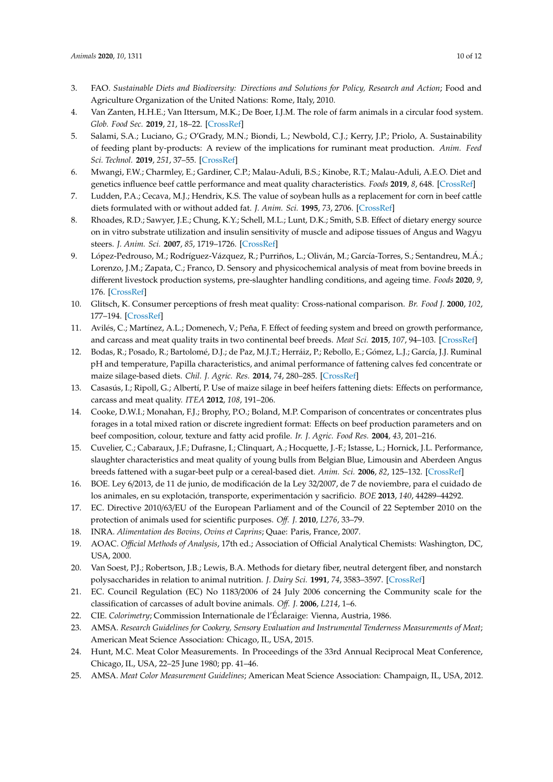- <span id="page-9-0"></span>3. FAO. *Sustainable Diets and Biodiversity: Directions and Solutions for Policy, Research and Action*; Food and Agriculture Organization of the United Nations: Rome, Italy, 2010.
- <span id="page-9-1"></span>4. Van Zanten, H.H.E.; Van Ittersum, M.K.; De Boer, I.J.M. The role of farm animals in a circular food system. *Glob. Food Sec.* **2019**, *21*, 18–22. [\[CrossRef\]](http://dx.doi.org/10.1016/j.gfs.2019.06.003)
- <span id="page-9-2"></span>5. Salami, S.A.; Luciano, G.; O'Grady, M.N.; Biondi, L.; Newbold, C.J.; Kerry, J.P.; Priolo, A. Sustainability of feeding plant by-products: A review of the implications for ruminant meat production. *Anim. Feed Sci. Technol.* **2019**, *251*, 37–55. [\[CrossRef\]](http://dx.doi.org/10.1016/j.anifeedsci.2019.02.006)
- <span id="page-9-3"></span>6. Mwangi, F.W.; Charmley, E.; Gardiner, C.P.; Malau-Aduli, B.S.; Kinobe, R.T.; Malau-Aduli, A.E.O. Diet and genetics influence beef cattle performance and meat quality characteristics. *Foods* **2019**, *8*, 648. [\[CrossRef\]](http://dx.doi.org/10.3390/foods8120648)
- <span id="page-9-4"></span>7. Ludden, P.A.; Cecava, M.J.; Hendrix, K.S. The value of soybean hulls as a replacement for corn in beef cattle diets formulated with or without added fat. *J. Anim. Sci.* **1995**, *73*, 2706. [\[CrossRef\]](http://dx.doi.org/10.2527/1995.7392706x)
- <span id="page-9-5"></span>8. Rhoades, R.D.; Sawyer, J.E.; Chung, K.Y.; Schell, M.L.; Lunt, D.K.; Smith, S.B. Effect of dietary energy source on in vitro substrate utilization and insulin sensitivity of muscle and adipose tissues of Angus and Wagyu steers. *J. Anim. Sci.* **2007**, *85*, 1719–1726. [\[CrossRef\]](http://dx.doi.org/10.2527/jas.2006-498)
- <span id="page-9-6"></span>9. López-Pedrouso, M.; Rodríguez-Vázquez, R.; Purriños, L.; Oliván, M.; García-Torres, S.; Sentandreu, M.Á.; Lorenzo, J.M.; Zapata, C.; Franco, D. Sensory and physicochemical analysis of meat from bovine breeds in different livestock production systems, pre-slaughter handling conditions, and ageing time. *Foods* **2020**, *9*, 176. [\[CrossRef\]](http://dx.doi.org/10.3390/foods9020176)
- <span id="page-9-7"></span>10. Glitsch, K. Consumer perceptions of fresh meat quality: Cross-national comparison. *Br. Food J.* **2000**, *102*, 177–194. [\[CrossRef\]](http://dx.doi.org/10.1108/00070700010332278)
- <span id="page-9-8"></span>11. Avilés, C.; Martínez, A.L.; Domenech, V.; Peña, F. Effect of feeding system and breed on growth performance, and carcass and meat quality traits in two continental beef breeds. *Meat Sci.* **2015**, *107*, 94–103. [\[CrossRef\]](http://dx.doi.org/10.1016/j.meatsci.2015.04.016)
- <span id="page-9-22"></span>12. Bodas, R.; Posado, R.; Bartolomé, D.J.; de Paz, M.J.T.; Herráiz, P.; Rebollo, E.; Gómez, L.J.; García, J.J. Ruminal pH and temperature, Papilla characteristics, and animal performance of fattening calves fed concentrate or maize silage-based diets. *Chil. J. Agric. Res.* **2014**, *74*, 280–285. [\[CrossRef\]](http://dx.doi.org/10.4067/S0718-58392014000300005)
- <span id="page-9-21"></span>13. Casasús, I.; Ripoll, G.; Albertí, P. Use of maize silage in beef heifers fattening diets: Effects on performance, carcass and meat quality. *ITEA* **2012**, *108*, 191–206.
- <span id="page-9-9"></span>14. Cooke, D.W.I.; Monahan, F.J.; Brophy, P.O.; Boland, M.P. Comparison of concentrates or concentrates plus forages in a total mixed ration or discrete ingredient format: Effects on beef production parameters and on beef composition, colour, texture and fatty acid profile. *Ir. J. Agric. Food Res.* **2004**, *43*, 201–216.
- <span id="page-9-10"></span>15. Cuvelier, C.; Cabaraux, J.F.; Dufrasne, I.; Clinquart, A.; Hocquette, J.-F.; Istasse, L.; Hornick, J.L. Performance, slaughter characteristics and meat quality of young bulls from Belgian Blue, Limousin and Aberdeen Angus breeds fattened with a sugar-beet pulp or a cereal-based diet. *Anim. Sci.* **2006**, *82*, 125–132. [\[CrossRef\]](http://dx.doi.org/10.1079/ASC20057)
- <span id="page-9-11"></span>16. BOE. Ley 6/2013, de 11 de junio, de modificación de la Ley 32/2007, de 7 de noviembre, para el cuidado de los animales, en su explotación, transporte, experimentación y sacrificio. *BOE* **2013**, *140*, 44289–44292.
- <span id="page-9-12"></span>17. EC. Directive 2010/63/EU of the European Parliament and of the Council of 22 September 2010 on the protection of animals used for scientific purposes. *O*ff*. J.* **2010**, *L276*, 33–79.
- <span id="page-9-13"></span>18. INRA. *Alimentation des Bovins, Ovins et Caprins*; Quae: Paris, France, 2007.
- <span id="page-9-14"></span>19. AOAC. *O*ffi*cial Methods of Analysis*, 17th ed.; Association of Official Analytical Chemists: Washington, DC, USA, 2000.
- <span id="page-9-15"></span>20. Van Soest, P.J.; Robertson, J.B.; Lewis, B.A. Methods for dietary fiber, neutral detergent fiber, and nonstarch polysaccharides in relation to animal nutrition. *J. Dairy Sci.* **1991**, *74*, 3583–3597. [\[CrossRef\]](http://dx.doi.org/10.3168/jds.S0022-0302(91)78551-2)
- <span id="page-9-16"></span>21. EC. Council Regulation (EC) No 1183/2006 of 24 July 2006 concerning the Community scale for the classification of carcasses of adult bovine animals. *O*ff*. J.* **2006**, *L214*, 1–6.
- <span id="page-9-17"></span>22. CIE. *Colorimetry*; Commission Internationale de l'Éclaraige: Vienna, Austria, 1986.
- <span id="page-9-18"></span>23. AMSA. *Research Guidelines for Cookery, Sensory Evaluation and Instrumental Tenderness Measurements of Meat*; American Meat Science Association: Chicago, IL, USA, 2015.
- <span id="page-9-19"></span>24. Hunt, M.C. Meat Color Measurements. In Proceedings of the 33rd Annual Reciprocal Meat Conference, Chicago, IL, USA, 22–25 June 1980; pp. 41–46.
- <span id="page-9-20"></span>25. AMSA. *Meat Color Measurement Guidelines*; American Meat Science Association: Champaign, IL, USA, 2012.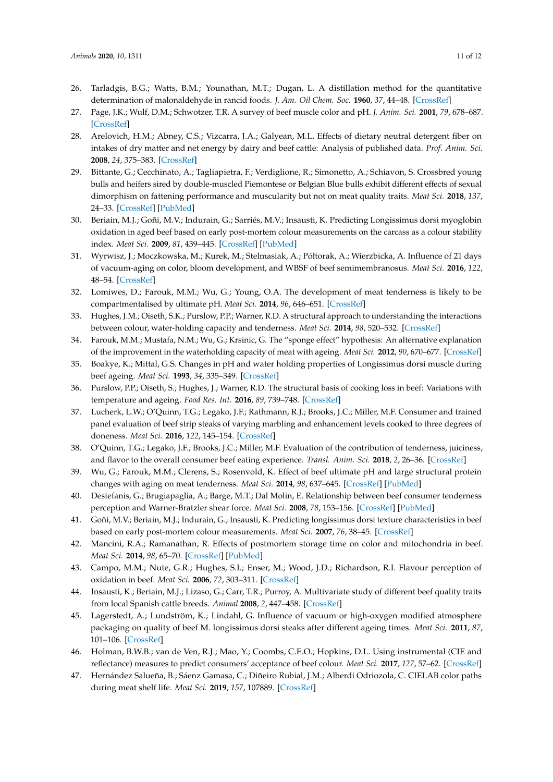- <span id="page-10-0"></span>26. Tarladgis, B.G.; Watts, B.M.; Younathan, M.T.; Dugan, L. A distillation method for the quantitative determination of malonaldehyde in rancid foods. *J. Am. Oil Chem. Soc.* **1960**, *37*, 44–48. [\[CrossRef\]](http://dx.doi.org/10.1007/BF02630824)
- <span id="page-10-1"></span>27. Page, J.K.; Wulf, D.M.; Schwotzer, T.R. A survey of beef muscle color and pH. *J. Anim. Sci.* **2001**, *79*, 678–687. [\[CrossRef\]](http://dx.doi.org/10.2527/2001.793678x)
- <span id="page-10-2"></span>28. Arelovich, H.M.; Abney, C.S.; Vizcarra, J.A.; Galyean, M.L. Effects of dietary neutral detergent fiber on intakes of dry matter and net energy by dairy and beef cattle: Analysis of published data. *Prof. Anim. Sci.* **2008**, *24*, 375–383. [\[CrossRef\]](http://dx.doi.org/10.15232/S1080-7446(15)30882-2)
- <span id="page-10-3"></span>29. Bittante, G.; Cecchinato, A.; Tagliapietra, F.; Verdiglione, R.; Simonetto, A.; Schiavon, S. Crossbred young bulls and heifers sired by double-muscled Piemontese or Belgian Blue bulls exhibit different effects of sexual dimorphism on fattening performance and muscularity but not on meat quality traits. *Meat Sci.* **2018**, *137*, 24–33. [\[CrossRef\]](http://dx.doi.org/10.1016/j.meatsci.2017.11.004) [\[PubMed\]](http://www.ncbi.nlm.nih.gov/pubmed/29149626)
- <span id="page-10-4"></span>30. Beriain, M.J.; Goñi, M.V.; Indurain, G.; Sarriés, M.V.; Insausti, K. Predicting Longissimus dorsi myoglobin oxidation in aged beef based on early post-mortem colour measurements on the carcass as a colour stability index. *Meat Sci.* **2009**, *81*, 439–445. [\[CrossRef\]](http://dx.doi.org/10.1016/j.meatsci.2008.09.009) [\[PubMed\]](http://www.ncbi.nlm.nih.gov/pubmed/22064280)
- <span id="page-10-5"></span>31. Wyrwisz, J.; Moczkowska, M.; Kurek, M.; Stelmasiak, A.; Półtorak, A.; Wierzbicka, A. Influence of 21 days of vacuum-aging on color, bloom development, and WBSF of beef semimembranosus. *Meat Sci.* **2016**, *122*, 48–54. [\[CrossRef\]](http://dx.doi.org/10.1016/j.meatsci.2016.07.018)
- <span id="page-10-6"></span>32. Lomiwes, D.; Farouk, M.M.; Wu, G.; Young, O.A. The development of meat tenderness is likely to be compartmentalised by ultimate pH. *Meat Sci.* **2014**, *96*, 646–651. [\[CrossRef\]](http://dx.doi.org/10.1016/j.meatsci.2013.08.022)
- <span id="page-10-7"></span>33. Hughes, J.M.; Oiseth, S.K.; Purslow, P.P.; Warner, R.D. A structural approach to understanding the interactions between colour, water-holding capacity and tenderness. *Meat Sci.* **2014**, *98*, 520–532. [\[CrossRef\]](http://dx.doi.org/10.1016/j.meatsci.2014.05.022)
- <span id="page-10-8"></span>34. Farouk, M.M.; Mustafa, N.M.; Wu, G.; Krsinic, G. The "sponge effect" hypothesis: An alternative explanation of the improvement in the waterholding capacity of meat with ageing. *Meat Sci.* **2012**, *90*, 670–677. [\[CrossRef\]](http://dx.doi.org/10.1016/j.meatsci.2011.10.012)
- <span id="page-10-9"></span>35. Boakye, K.; Mittal, G.S. Changes in pH and water holding properties of Longissimus dorsi muscle during beef ageing. *Meat Sci.* **1993**, *34*, 335–349. [\[CrossRef\]](http://dx.doi.org/10.1016/0309-1740(93)90082-S)
- <span id="page-10-10"></span>36. Purslow, P.P.; Oiseth, S.; Hughes, J.; Warner, R.D. The structural basis of cooking loss in beef: Variations with temperature and ageing. *Food Res. Int.* **2016**, *89*, 739–748. [\[CrossRef\]](http://dx.doi.org/10.1016/j.foodres.2016.09.010)
- <span id="page-10-11"></span>37. Lucherk, L.W.; O'Quinn, T.G.; Legako, J.F.; Rathmann, R.J.; Brooks, J.C.; Miller, M.F. Consumer and trained panel evaluation of beef strip steaks of varying marbling and enhancement levels cooked to three degrees of doneness. *Meat Sci.* **2016**, *122*, 145–154. [\[CrossRef\]](http://dx.doi.org/10.1016/j.meatsci.2016.08.005)
- <span id="page-10-12"></span>38. O'Quinn, T.G.; Legako, J.F.; Brooks, J.C.; Miller, M.F. Evaluation of the contribution of tenderness, juiciness, and flavor to the overall consumer beef eating experience. *Transl. Anim. Sci.* **2018**, *2*, 26–36. [\[CrossRef\]](http://dx.doi.org/10.1093/tas/txx008)
- <span id="page-10-13"></span>39. Wu, G.; Farouk, M.M.; Clerens, S.; Rosenvold, K. Effect of beef ultimate pH and large structural protein changes with aging on meat tenderness. *Meat Sci.* **2014**, *98*, 637–645. [\[CrossRef\]](http://dx.doi.org/10.1016/j.meatsci.2014.06.010) [\[PubMed\]](http://www.ncbi.nlm.nih.gov/pubmed/25089788)
- <span id="page-10-14"></span>40. Destefanis, G.; Brugiapaglia, A.; Barge, M.T.; Dal Molin, E. Relationship between beef consumer tenderness perception and Warner-Bratzler shear force. *Meat Sci.* **2008**, *78*, 153–156. [\[CrossRef\]](http://dx.doi.org/10.1016/j.meatsci.2007.05.031) [\[PubMed\]](http://www.ncbi.nlm.nih.gov/pubmed/22062265)
- <span id="page-10-15"></span>41. Goñi, M.V.; Beriain, M.J.; Indurain, G.; Insausti, K. Predicting longissimus dorsi texture characteristics in beef based on early post-mortem colour measurements. *Meat Sci.* **2007**, *76*, 38–45. [\[CrossRef\]](http://dx.doi.org/10.1016/j.meatsci.2006.10.012)
- <span id="page-10-16"></span>42. Mancini, R.A.; Ramanathan, R. Effects of postmortem storage time on color and mitochondria in beef. *Meat Sci.* **2014**, *98*, 65–70. [\[CrossRef\]](http://dx.doi.org/10.1016/j.meatsci.2014.04.007) [\[PubMed\]](http://www.ncbi.nlm.nih.gov/pubmed/24862957)
- <span id="page-10-17"></span>43. Campo, M.M.; Nute, G.R.; Hughes, S.I.; Enser, M.; Wood, J.D.; Richardson, R.I. Flavour perception of oxidation in beef. *Meat Sci.* **2006**, *72*, 303–311. [\[CrossRef\]](http://dx.doi.org/10.1016/j.meatsci.2005.07.015)
- <span id="page-10-18"></span>44. Insausti, K.; Beriain, M.J.; Lizaso, G.; Carr, T.R.; Purroy, A. Multivariate study of different beef quality traits from local Spanish cattle breeds. *Animal* **2008**, *2*, 447–458. [\[CrossRef\]](http://dx.doi.org/10.1017/S1751731107001498)
- <span id="page-10-19"></span>45. Lagerstedt, A.; Lundström, K.; Lindahl, G. Influence of vacuum or high-oxygen modified atmosphere packaging on quality of beef M. longissimus dorsi steaks after different ageing times. *Meat Sci.* **2011**, *87*, 101–106. [\[CrossRef\]](http://dx.doi.org/10.1016/j.meatsci.2010.08.010)
- <span id="page-10-20"></span>46. Holman, B.W.B.; van de Ven, R.J.; Mao, Y.; Coombs, C.E.O.; Hopkins, D.L. Using instrumental (CIE and reflectance) measures to predict consumers' acceptance of beef colour. *Meat Sci.* **2017**, *127*, 57–62. [\[CrossRef\]](http://dx.doi.org/10.1016/j.meatsci.2017.01.005)
- <span id="page-10-21"></span>47. Hernández Salueña, B.; Sáenz Gamasa, C.; Diñeiro Rubial, J.M.; Alberdi Odriozola, C. CIELAB color paths during meat shelf life. *Meat Sci.* **2019**, *157*, 107889. [\[CrossRef\]](http://dx.doi.org/10.1016/j.meatsci.2019.107889)